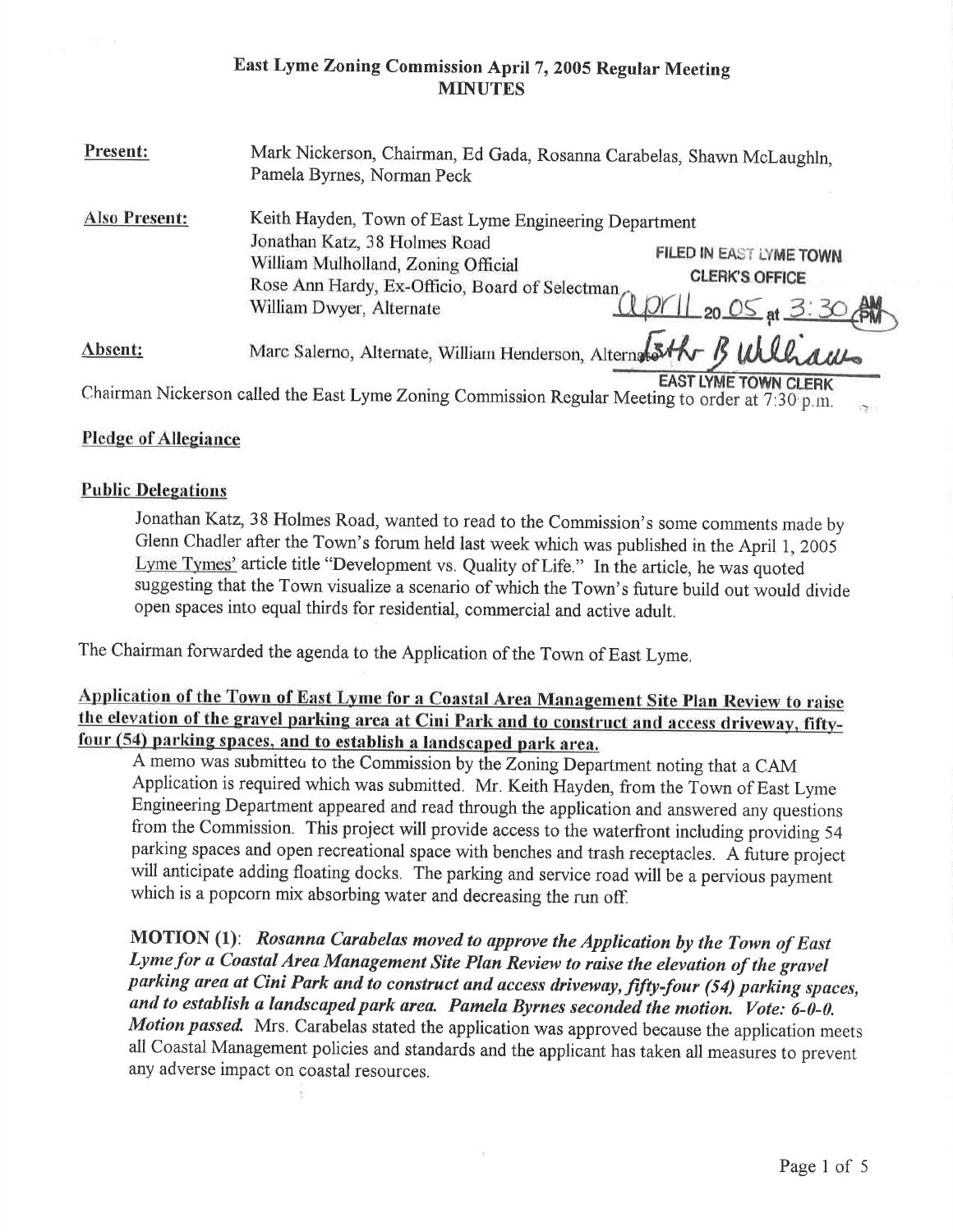# East Lyme Zoning Commission April 7, 2005 Regular Meeting **MINUTES**

| Present:             | Mark Nickerson, Chairman, Ed Gada, Rosanna Carabelas, Shawn McLaughln,<br>Pamela Byrnes, Norman Peck                                                                                                                                                                                        |
|----------------------|---------------------------------------------------------------------------------------------------------------------------------------------------------------------------------------------------------------------------------------------------------------------------------------------|
| <b>Also Present:</b> | Keith Hayden, Town of East Lyme Engineering Department<br>Jonathan Katz, 38 Holmes Road<br>FILED IN EAST LYME TOWN.<br>William Mulholland, Zoning Official<br><b>CLERK'S OFFICE</b><br>Rose Ann Hardy, Ex-Officio, Board of Selectman<br>april 20 05 at 3:30 AM<br>William Dwyer, Alternate |
| $Absent:$            | Marc Salerno, Alternate, William Henderson, Alternation B Williams                                                                                                                                                                                                                          |
|                      | <b>EAST LYME TOWN CLERK</b><br>Chairman Nickerson called the East Lyme Zoning Commission Regular Meeting to order at 7:30 p.m.<br>$\mathcal{L}_{\mathcal{F}}$                                                                                                                               |

## Pledge of Allegiance

## Public Delegations

Jonathan Katz,38 Holmes Road, wanted to read to the Commission's some comments made by Glenn Chadler after the Town's forum held last week which was published in the April 1, <sup>2005</sup> Lyme Tymes' article title "Development vs. Quality of Life." In the article, he was quoted suggesting that the Town visualize a scenario of which the Town's future build out would divide open spaces into equal thirds for residential, commercial and active adult.

The Chairman forwarded the agenda to the Application of the Town of East Lyme.

Application of the Town of East Lyme for a Coastal Area Management Site Plan Review to raise the elevation of the gravel parking area at Cini Park and to construct and access driveway, fiftyfour (54) parking spaces, and to establish a landscaped park area.

A memo was submitted to the Commission by the Zoning Department noting that a CAM Application is required which was submitted. Mr. Keith Hayden, from the Town of East Lyme Engineering Department appeared and read through the application and answered any questions from the Commission. This project will provide access to the waterfront including providing 54 parking spaces and open recreational space with benches and trash receptacles. A future project will anticipate adding floating docks. The parking and service road will be a pervious payment which is a popcorn mix absorbing water and decreasing the run off.

MOTION (1): Rosanna Carabelas moved to approve the Application by the Town of East Lyme for a Coastal Area Management Site Plan Review to raise the elevation of the gravel parking area at Cini Park and to construct and access driveway, fifty-four (54) parking spaces, and to establish a landscaped park area. Pamela Byrnes seconded the motion. Vote: 6-0-0. Motion passed. Mrs. Carabelas stated the application was approved because the application meets all Coastal Management policies and standards and the applicant has taken all measures to prevent any adverse impact on coastal resources.

G.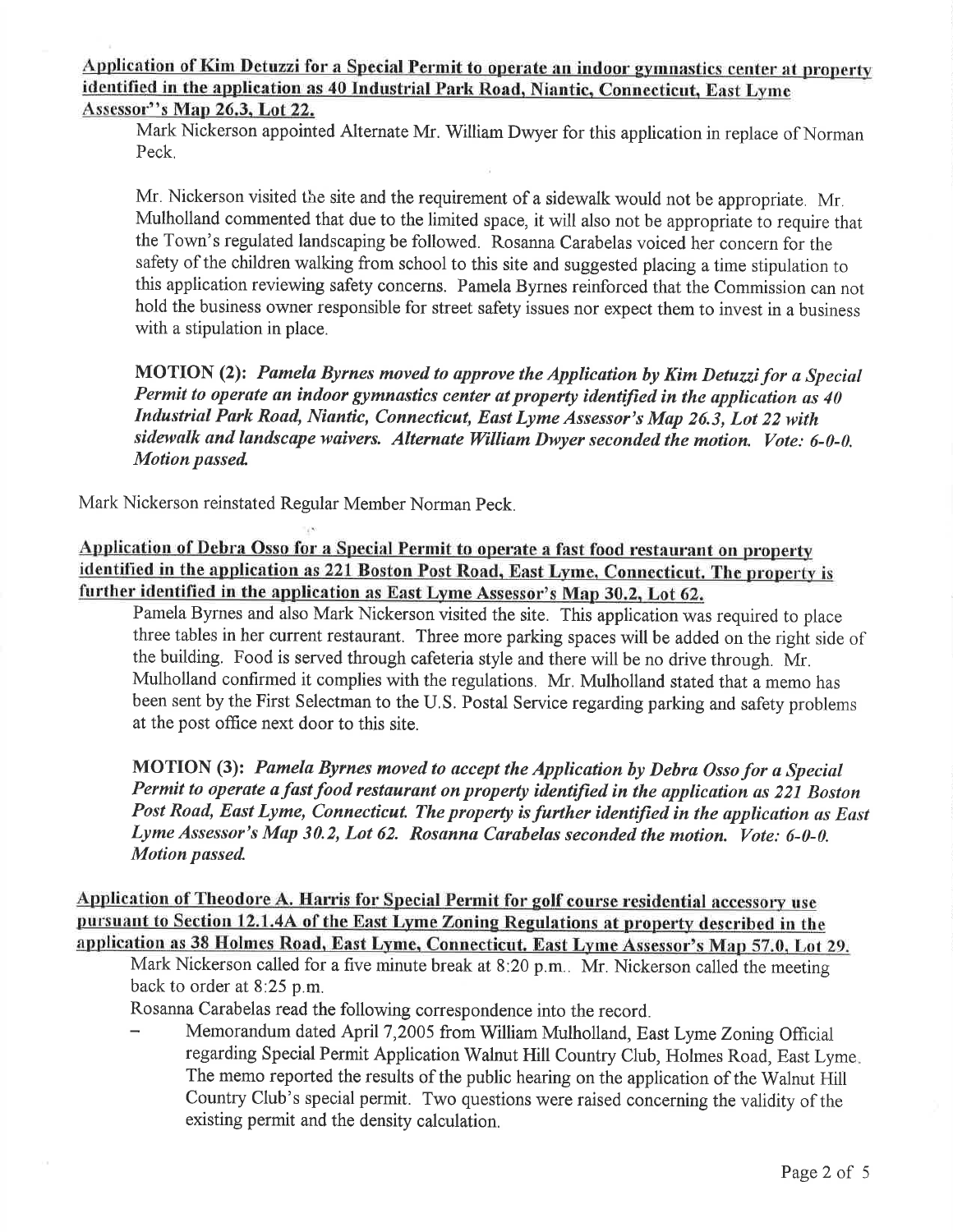APPlication of Kim Detuzzi for a Special Permit to operate an indoor gymnastics center at property identified in the application as 40 Industrial Park Road, Niantic, Connecticut, East Lyme Assessor"s Map 26.3. Lot 22.

Mark Nickerson appointed Alternate Mr. William Dwyer for this application in replace of Norman Peck.

Mr. Nickerson visited the site and the requirement of a sidewalk would not be appropriate. Mr. Mulholland commented that due to the limited space, it will also not be appropriate to require that the Town's regulated landscaping be followed. Rosanna Carabelas voiced her concern for the safety of the children walking from school to this site and suggested placing a time stipulation to this application reviewing safety concerns. Pamela Byrnes reinforced that the Commission can not hold the business owner responsible for street safety issues nor expect them to invest in a business with a stipulation in place.

MOTION (2): Pamela Byrnes moved to approve the Application by Kim Detuzzi for a Special Permit to operate an indoor gymnastics center at property identified in the application as 40 Industriul Park Road, Nianfic, Connecticut, Eust Lyme Assessor's Map 26.3, Lot 22 with sidewalk and landscape waivers. Alternate William Dwyer seconded the motion. Vote: 6-0-0. Motion passed

Mark Nickerson reinstated Regular Member Norman Peck.

Application of Debra Osso for a Special Permit to operate a fast food restaurant on property identified in the application as 221 Boston Post Road. East Lyme. Connecticut. The property is further identified in the application as East Lyme Assessor's Map 30.2. Lot 62.

Pamela Byrnes and also Mark Nickerson visited the site. This application was required to place three tables in her current restaurant. Three more parking spaces will be added on the right side of the building. Food is served through cafeteria style and there will be no drive through. Mr. Mulholland confirmed it complies with the regulations. Mr. Mulholland stated that a memo has been sent by the First Selectman to the U.S. Postal Service regarding parking and safety problems at the post office next door to this site.

MOTION (3): Pamela Byrnes moved to accept the Application by Debra Osso for a Special Permit to operate a fast food restaurant on property identified in the application as 221 Boston Post Road, East Lyme, Connecticut. The property is further identified in the application as East Lyme Assessor's Map 30.2, Lot 62. Rosanna Carubelas seconded the motion. Vote: 6-0-0. Motion passed

Application of Theodore A. Harris for Special Permit for golf course residential accessory use Pursuant to Section 12.1.4A of the East Lyme Zoning Regulations at property described in the application as 38 Holmes Road. East Lyme. Connecticut. East Lyme Assessor's Map 57.0. Lot 29.

Mark Nickerson called for a five minute break at 8:20 p.m.. Mr. Nickerson called the meeting back to order at 8:25 p.m.

Rosanna Carabelas read the following correspondence into the record.

Memorandum dated April 7,2005 from William Mulholland, East Lyme Zoning Official regarding Special Permit Application Walnut Hill Country Club, Holmes Road, East Lyme The memo reported the results of the public hearing on the application of the Walnut Hill Country Club's special permit. Two questions were raised concerning the validity of the existing permit and the density calculation.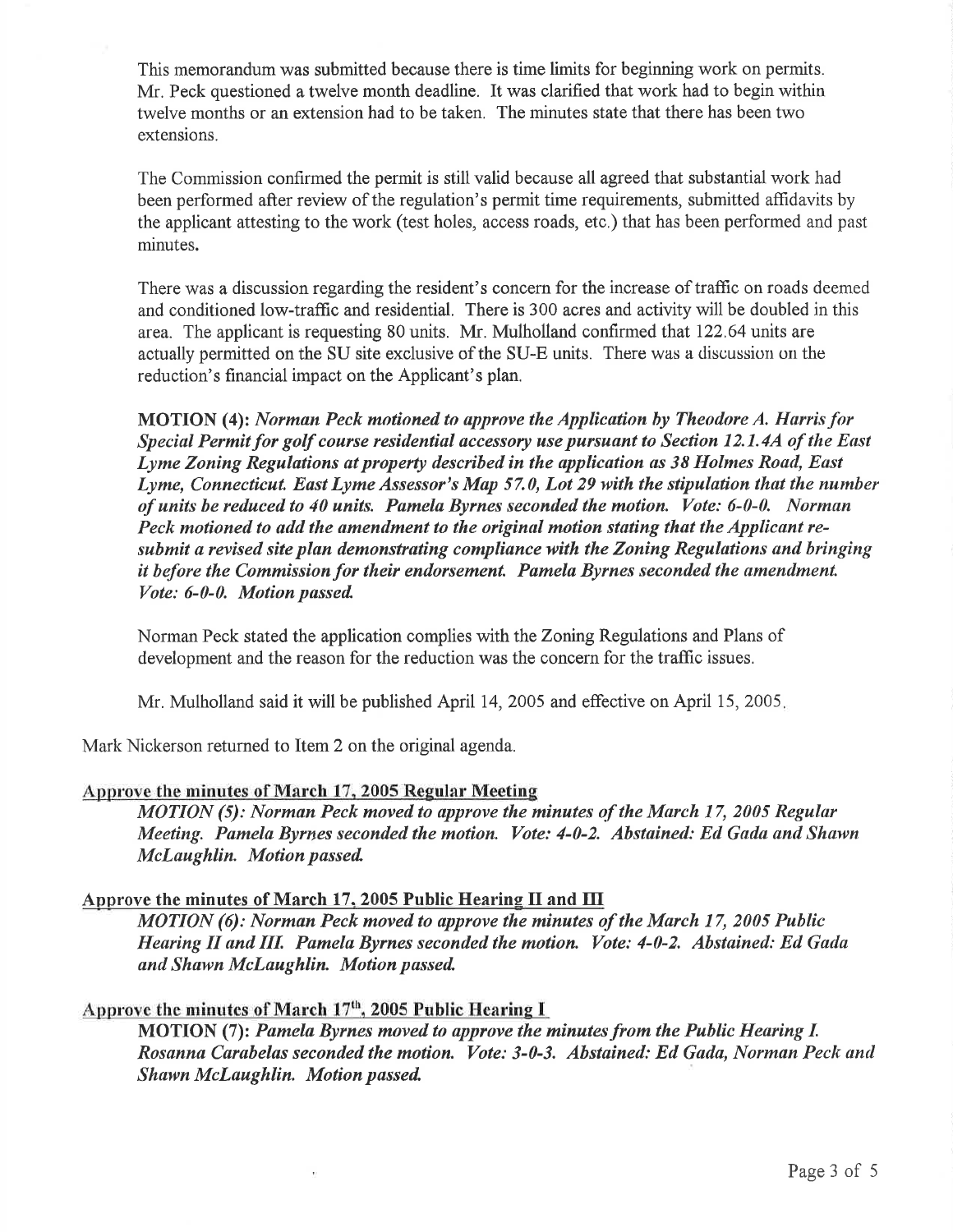This memorandum was submitted because there is time limits for beginning work on permits. Mr. Peck questioned a twelve month deadline. It was clarified that work had to begin within twelve months or an extension had to be taken. The minutes state that there has been two extensions.

The Commission confirmed the permit is still valid because all agreed that substantial work had been performed after review of the regulation's permit time requirements, submitted affidavits by the applicant attesting to the work (test holes, access roads, etc.) that has been performed and past minutes.

There was a discussion regarding the resident's concern for the increase of traffic on roads deemed and conditioned low-traffic and residential. There is 300 acres and activity will be doubled in this area. The applicant is requesting 80 units. Mr. Mulholland confirmed that 122.64 units are actually permitted on the SU site exclusive of the SU-E units. There was a discussion on the reduction's financial impact on the Applicant's plan.

MOTION (4): Norman Peck motioned to approve the Application by Theodore A. Harris for Special Permit for golf course residential accessory use pursuant to Section 12.1.4A of the East Lyme Zoning Regulations at property described in the application as 38 Holmes Road, East Lyme, Connecticut. East Lyme Assessor's Map 57.0, Lot 29 with the stipulation that the number of units be reduced to 40 units. Pamela Byrnes seconded the motion. Vote: 6-0-0. Normun Peck motioned to add the amendment to the original motion stating that the Applicant resubmit a revised site plan demonstrating compliance with the Zoning Regulations and bringing it before the Commission for their endorsement. Pamela Byrnes seconded the amendment. Vote: 6-0-0. Motion passed

Norman Peck stated the application complies with the Zoning Regulations and Plans of development and the reason for the reduction was the concern for the trafiic issues.

Mr. Mulholland said it will be published April 14, 2005 and effective on April 15, 2005.

Mark Nickerson returned to Item 2 on the original agenda.

## Approve the minutes of March L7. 2005 Regular Meeting

MOTION (5): Norman Peck moved to approve the minutes of the March 17, 2005 Regular Meeting. Pamela Byrnes seconded the motion. Vote: 4-0-2. Abstained: Ed Gada and Shawn McLaughlin. Motion passed

## Approve the minutes of March 17, 2005 Public Hearing II and  $\overline{III}$

 $MOTION$  (6): Norman Peck moved to approve the minutes of the March 17, 2005 Public Hearing II and III. Pamela Byrnes seconded the motion. Vote: 4-0-2. Abstained: Ed Gada and Shawn McLaughlin. Motion passed

# Approve the minutes of March  $17<sup>th</sup>$ , 2005 Public Hearing I

MOTION (7): Pamela Byrnes moved to approve the minutes from the Public Hearing L Rosanna Carabelas seconded the motion. Vote: 3-0-3. Abstained: Ed Gada, Norman Peck and Shawn McLaughlin. Motion passed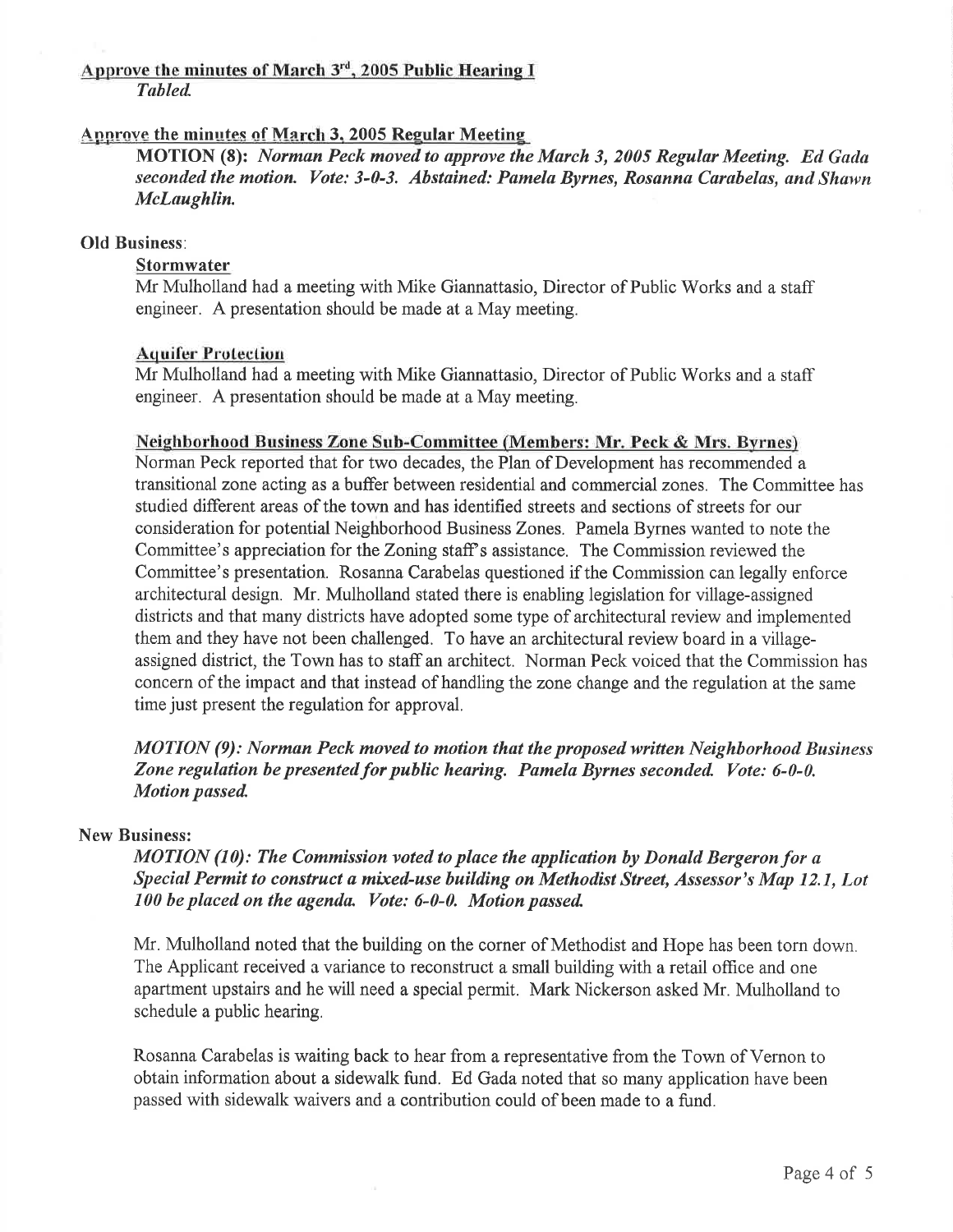#### Approve the minutes of March 3'd. 2005 Public Hearing I Tubled

# Approve the minutes of March 3, 2005 Regular Meeting

MOTION (8): Norman Peck moved to approve the March 3, 2005 Regular Meeting. Ed Gada seconded the motion. Vote: 3-0-3. Abstained: Pamela Byrnes, Rosanna Carabelas, and Shawn McLaughlin.

# Old Business:

# **Stormwater**

Mr Mulholland had a meeting with Mike Giannattasio, Director of Public Works and a staff engineer. A presentation should be made at a May meeting.

#### **Aquifer Protection**

Mr Mulholland had a meeting with Mike Giannattasio, Director of Public Works and a staff engineer. A presentation should be made at a May meeting.

#### Neighborhood Business Zone Sub-Committee (Members: Mr. Peck & Mrs. Byfnes)

Norman Peck reported that for two decades, the Plan of Development has recommended a transitional zone acting as a buffer between residential and commercial zones. The Committee has studied diflerent areas of the town and has identified streets and sections of streets for our consideration for potential Neighborhood Business Zones. Pamela Byrnes wanted to note the Committee's appreciation for the Zoning staff's assistance. The Commission reviewed the Committee's presentation. Rosanna Carabelas questioned if the Commission can legally enforce architectural design. Mr. Mulholland stated there is enabling legislation for village-assigned districts and that many districts have adopted some type of architectural review and implemented them and they have not been challenged. To have an architectural review board in a villageassigned district, the Town has to staffan architect. Norman Peck voiced that the Commission has concern of the impact and that instead of handling the zone change and the regulation at the same time just present the regulation for approval.

MOTION (9): Norman Peck moved to motion that the proposed written Neighborhood Business Zone regulation be presented for public hearing. Pamela Byrnes seconded. Vote: 6-0-0. Motion passed

#### New Business:

 $MOTION (10)$ : The Commission voted to place the application by Donald Bergeron for a Special Permit to construct a mixed-use building on Methodist Street, Assessor's Map 12.1, Lot 100 be placed on the agenda. Vote: 6-0-0. Motion passed.

Mr. Mulholland noted that the building on the corner of Methodist and Hope has been torn down. The Applicant received a variance to reconstruct a small building with a retail office and one apartment upstairs and he will need a special permit. Mark Nickerson asked Mr. Mulholland to schedule a public hearing.

Rosanna Carabelas is waiting back to hear from a representative from the Town of Vernon to obtain information about a sidewalk fund. Ed Gada noted that so many application have been passed with sidewalk waivers and a contribution could of been made to a fund.